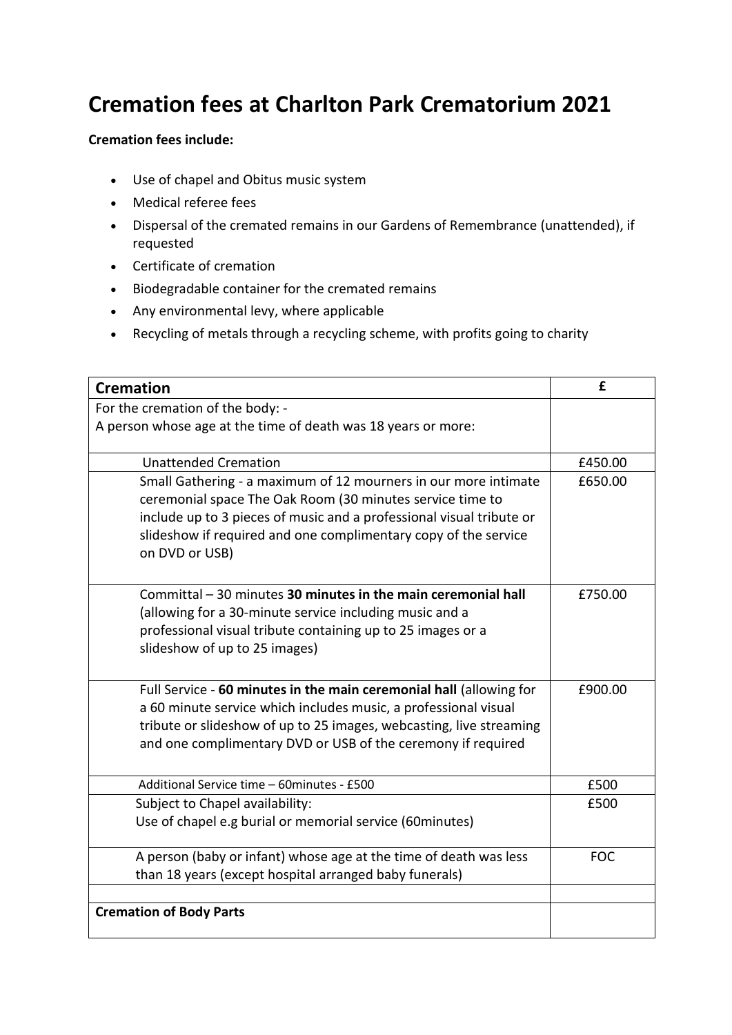## **Cremation fees at Charlton Park Crematorium 2021**

## **Cremation fees include:**

- Use of chapel and Obitus music system
- Medical referee fees
- Dispersal of the cremated remains in our Gardens of Remembrance (unattended), if requested
- Certificate of cremation
- Biodegradable container for the cremated remains
- Any environmental levy, where applicable
- Recycling of metals through a recycling scheme, with profits going to charity

| <b>Cremation</b>                                                                                                                                                                                                                                                                          | f          |
|-------------------------------------------------------------------------------------------------------------------------------------------------------------------------------------------------------------------------------------------------------------------------------------------|------------|
| For the cremation of the body: -                                                                                                                                                                                                                                                          |            |
| A person whose age at the time of death was 18 years or more:                                                                                                                                                                                                                             |            |
| <b>Unattended Cremation</b>                                                                                                                                                                                                                                                               | £450.00    |
| Small Gathering - a maximum of 12 mourners in our more intimate<br>ceremonial space The Oak Room (30 minutes service time to<br>include up to 3 pieces of music and a professional visual tribute or<br>slideshow if required and one complimentary copy of the service<br>on DVD or USB) | £650.00    |
| Committal - 30 minutes 30 minutes in the main ceremonial hall<br>(allowing for a 30-minute service including music and a<br>professional visual tribute containing up to 25 images or a<br>slideshow of up to 25 images)                                                                  | £750.00    |
| Full Service - 60 minutes in the main ceremonial hall (allowing for<br>a 60 minute service which includes music, a professional visual<br>tribute or slideshow of up to 25 images, webcasting, live streaming<br>and one complimentary DVD or USB of the ceremony if required             | £900.00    |
| Additional Service time - 60minutes - £500                                                                                                                                                                                                                                                | £500       |
| Subject to Chapel availability:<br>Use of chapel e.g burial or memorial service (60minutes)                                                                                                                                                                                               | £500       |
| A person (baby or infant) whose age at the time of death was less<br>than 18 years (except hospital arranged baby funerals)                                                                                                                                                               | <b>FOC</b> |
|                                                                                                                                                                                                                                                                                           |            |
| <b>Cremation of Body Parts</b>                                                                                                                                                                                                                                                            |            |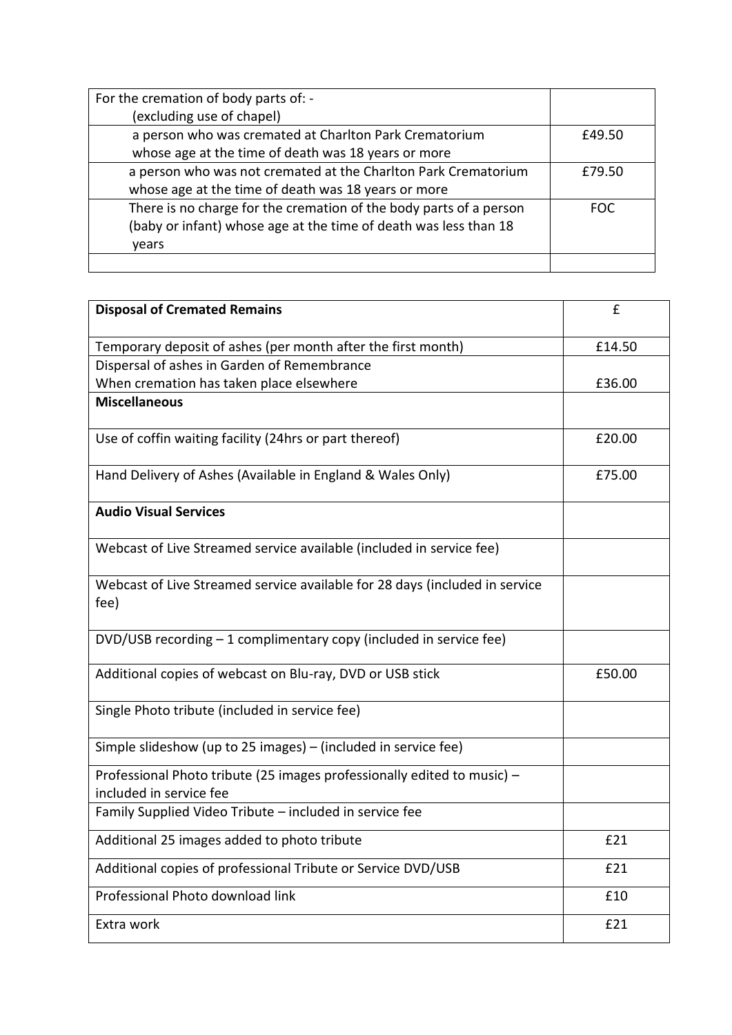| For the cremation of body parts of: -                              |            |
|--------------------------------------------------------------------|------------|
| (excluding use of chapel)                                          |            |
| a person who was cremated at Charlton Park Crematorium             | £49.50     |
| whose age at the time of death was 18 years or more                |            |
| a person who was not cremated at the Charlton Park Crematorium     | £79.50     |
| whose age at the time of death was 18 years or more                |            |
| There is no charge for the cremation of the body parts of a person | <b>FOC</b> |
| (baby or infant) whose age at the time of death was less than 18   |            |
| years                                                              |            |
|                                                                    |            |

| <b>Disposal of Cremated Remains</b>                                                                | £      |
|----------------------------------------------------------------------------------------------------|--------|
| Temporary deposit of ashes (per month after the first month)                                       | £14.50 |
| Dispersal of ashes in Garden of Remembrance                                                        |        |
| When cremation has taken place elsewhere                                                           | £36.00 |
| <b>Miscellaneous</b>                                                                               |        |
| Use of coffin waiting facility (24hrs or part thereof)                                             | £20.00 |
| Hand Delivery of Ashes (Available in England & Wales Only)                                         | £75.00 |
| <b>Audio Visual Services</b>                                                                       |        |
| Webcast of Live Streamed service available (included in service fee)                               |        |
| Webcast of Live Streamed service available for 28 days (included in service<br>fee)                |        |
| DVD/USB recording - 1 complimentary copy (included in service fee)                                 |        |
| Additional copies of webcast on Blu-ray, DVD or USB stick                                          | £50.00 |
| Single Photo tribute (included in service fee)                                                     |        |
| Simple slideshow (up to 25 images) - (included in service fee)                                     |        |
| Professional Photo tribute (25 images professionally edited to music) -<br>included in service fee |        |
| Family Supplied Video Tribute - included in service fee                                            |        |
| Additional 25 images added to photo tribute                                                        | £21    |
| Additional copies of professional Tribute or Service DVD/USB                                       | £21    |
| Professional Photo download link                                                                   | £10    |
| Extra work                                                                                         | £21    |